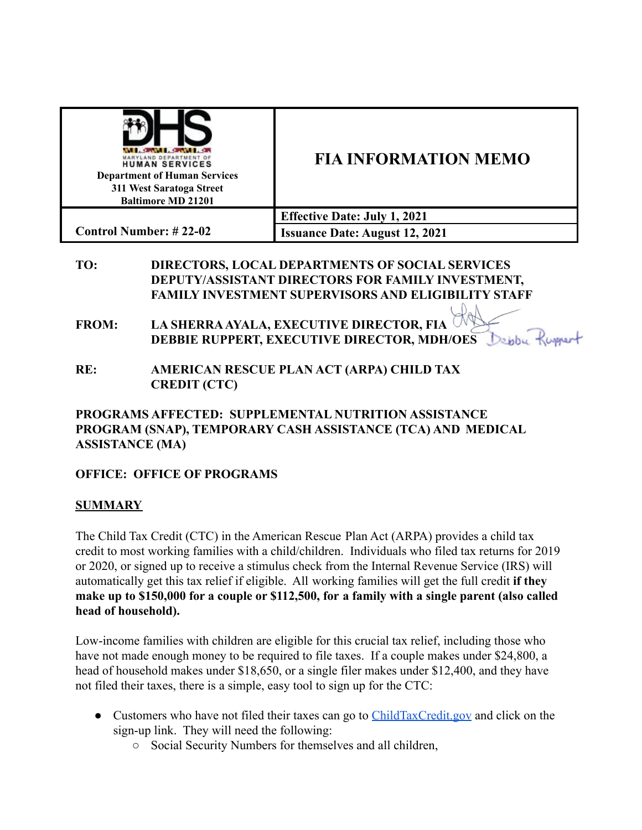

## **FIA INFORMATION MEMO**

**Effective Date: July 1, 2021 Issuance Date: August 12, 2021**

- **TO: DIRECTORS, LOCAL DEPARTMENTS OF SOCIAL SERVICES DEPUTY/ASSISTANT DIRECTORS FOR FAMILY INVESTMENT, FAMILY INVESTMENT SUPERVISORS AND ELIGIBILITY STAFF**
- **FROM: LA SHERRA AYALA, EXECUTIVE DIRECTOR, FIA DEBBIE RUPPERT, EXECUTIVE DIRECTOR, MDH/OES**
- **RE: AMERICAN RESCUE PLAN ACT (ARPA) CHILD TAX CREDIT (CTC)**

**PROGRAMS AFFECTED: SUPPLEMENTAL NUTRITION ASSISTANCE PROGRAM (SNAP), TEMPORARY CASH ASSISTANCE (TCA) AND MEDICAL ASSISTANCE (MA)**

## **OFFICE: OFFICE OF PROGRAMS**

## **SUMMARY**

The Child Tax Credit (CTC) in the American Rescue Plan Act (ARPA) provides a child tax credit to most working families with a child/children. Individuals who filed tax returns for 2019 or 2020, or signed up to receive a stimulus check from the Internal Revenue Service (IRS) will automatically get this tax relief if eligible. All working families will get the full credit **if they make up to \$150,000 for a couple or \$112,500, for a family with a single parent (also called head of household).**

Low-income families with children are eligible for this crucial tax relief, including those who have not made enough money to be required to file taxes. If a couple makes under \$24,800, a head of household makes under \$18,650, or a single filer makes under \$12,400, and they have not filed their taxes, there is a simple, easy tool to sign up for the CTC:

- Customers who have not filed their taxes can go to [ChildTaxCredit.gov](https://childtaxcredit.gov/) and click on the sign-up link. They will need the following:
	- Social Security Numbers for themselves and all children,